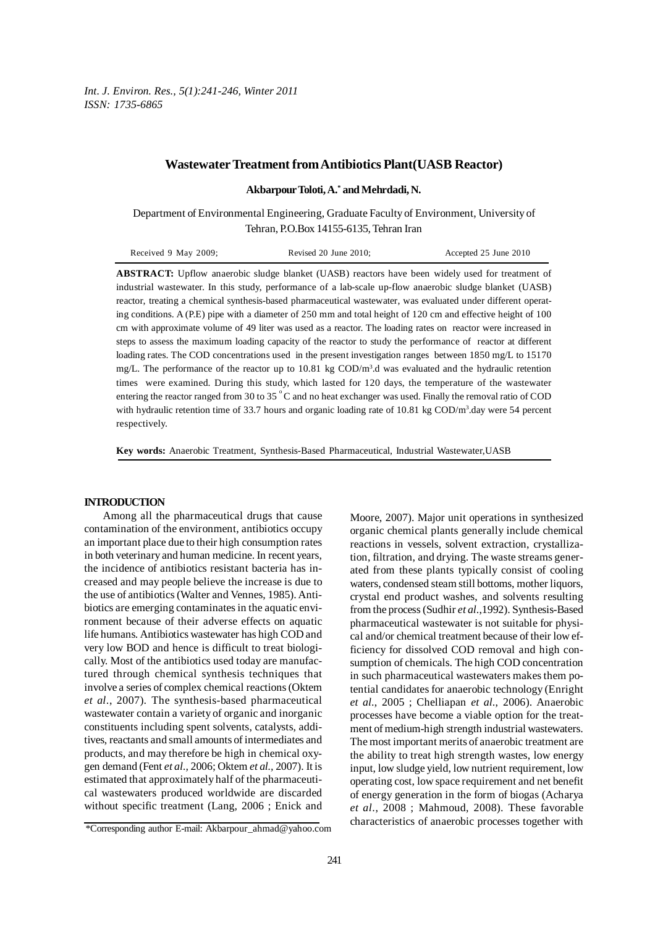*Int. J. Environ. Res., 5(1):241-246, Winter 2011 ISSN: 1735-6865*

## **Wastewater Treatment from Antibiotics Plant(UASB Reactor)**

**Akbarpour Toloti, A.\* and Mehrdadi, N.**

Department of Environmental Engineering, Graduate Faculty of Environment, University of Tehran, P.O.Box 14155-6135, Tehran Iran

| Received 9 May 2009; | Revised $20$ June $2010$ ; | Accepted 25 June 2010 |
|----------------------|----------------------------|-----------------------|
|----------------------|----------------------------|-----------------------|

**ABSTRACT:** Upflow anaerobic sludge blanket (UASB) reactors have been widely used for treatment of industrial wastewater. In this study, performance of a lab-scale up-flow anaerobic sludge blanket (UASB) reactor, treating a chemical synthesis-based pharmaceutical wastewater, was evaluated under different operating conditions. A (P.E) pipe with a diameter of 250 mm and total height of 120 cm and effective height of 100 cm with approximate volume of 49 liter was used as a reactor. The loading rates on reactor were increased in steps to assess the maximum loading capacity of the reactor to study the performance of reactor at different loading rates. The COD concentrations used in the present investigation ranges between 1850 mg/L to 15170 mg/L. The performance of the reactor up to 10.81 kg COD/m<sup>3</sup>.d was evaluated and the hydraulic retention times were examined. During this study, which lasted for 120 days, the temperature of the wastewater entering the reactor ranged from 30 to 35 °C and no heat exchanger was used. Finally the removal ratio of COD with hydraulic retention time of 33.7 hours and organic loading rate of 10.81 kg COD/m<sup>3</sup>.day were 54 percent respectively.

**Key words:** Anaerobic Treatment, Synthesis-Based Pharmaceutical, Industrial Wastewater,UASB

#### **INTRODUCTION**

Among all the pharmaceutical drugs that cause contamination of the environment, antibiotics occupy an important place due to their high consumption rates in both veterinary and human medicine. In recent years, the incidence of antibiotics resistant bacteria has increased and may people believe the increase is due to the use of antibiotics (Walter and Vennes, 1985). Antibiotics are emerging contaminates in the aquatic environment because of their adverse effects on aquatic life humans. Antibiotics wastewater has high COD and very low BOD and hence is difficult to treat biologically. Most of the antibiotics used today are manufactured through chemical synthesis techniques that involve a series of complex chemical reactions (Oktem *et al*., 2007). The synthesis-based pharmaceutical wastewater contain a variety of organic and inorganic constituents including spent solvents, catalysts, additives, reactants and small amounts of intermediates and products, and may therefore be high in chemical oxygen demand (Fent *et al.,* 2006; Oktem *et al.,* 2007). It is estimated that approximately half of the pharmaceutical wastewaters produced worldwide are discarded without specific treatment (Lang, 2006 ; Enick and

Moore, 2007). Major unit operations in synthesized organic chemical plants generally include chemical reactions in vessels, solvent extraction, crystallization, filtration, and drying. The waste streams generated from these plants typically consist of cooling waters, condensed steam still bottoms, mother liquors, crystal end product washes, and solvents resulting from the process (Sudhir *et al*.,1992). Synthesis-Based pharmaceutical wastewater is not suitable for physical and/or chemical treatment because of their low efficiency for dissolved COD removal and high consumption of chemicals. The high COD concentration in such pharmaceutical wastewaters makes them potential candidates for anaerobic technology (Enright *et al*., 2005 ; Chelliapan *et al*., 2006). Anaerobic processes have become a viable option for the treatment of medium-high strength industrial wastewaters. The most important merits of anaerobic treatment are the ability to treat high strength wastes, low energy input, low sludge yield, low nutrient requirement, low operating cost, low space requirement and net benefit of energy generation in the form of biogas (Acharya *et al*., 2008 ; Mahmoud, 2008). These favorable characteristics of anaerobic processes together with

<sup>\*</sup>Corresponding author E-mail: Akbarpour\_ahmad@yahoo.com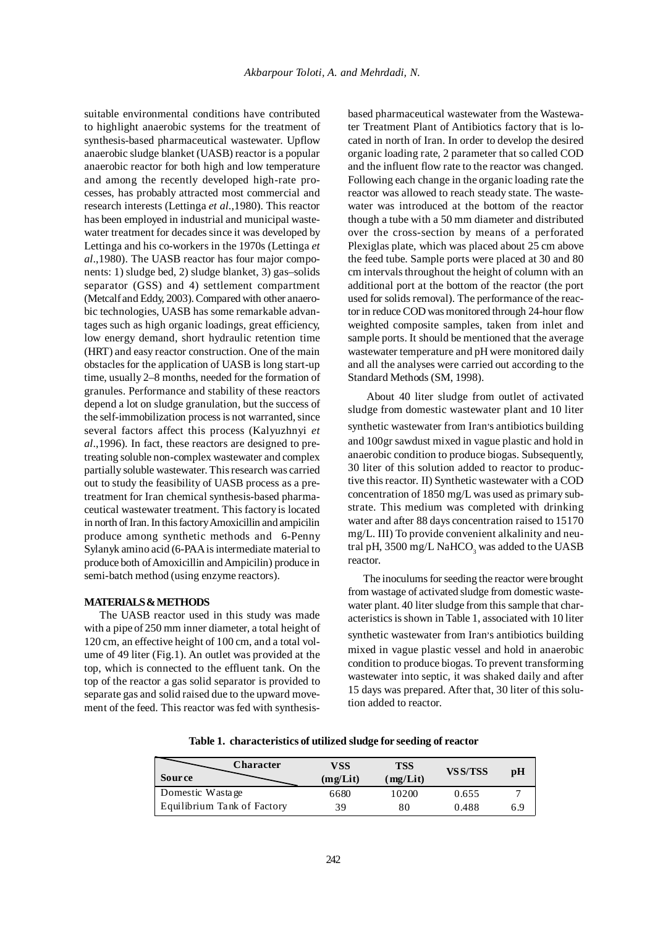suitable environmental conditions have contributed to highlight anaerobic systems for the treatment of synthesis-based pharmaceutical wastewater. Upflow anaerobic sludge blanket (UASB) reactor is a popular anaerobic reactor for both high and low temperature and among the recently developed high-rate processes, has probably attracted most commercial and research interests (Lettinga *et al*.,1980). This reactor has been employed in industrial and municipal wastewater treatment for decades since it was developed by Lettinga and his co-workers in the 1970s (Lettinga *et al*.,1980). The UASB reactor has four major components: 1) sludge bed, 2) sludge blanket, 3) gas–solids separator (GSS) and 4) settlement compartment (Metcalf and Eddy, 2003). Compared with other anaerobic technologies, UASB has some remarkable advantages such as high organic loadings, great efficiency, low energy demand, short hydraulic retention time (HRT) and easy reactor construction. One of the main obstacles for the application of UASB is long start-up time, usually 2–8 months, needed for the formation of granules. Performance and stability of these reactors depend a lot on sludge granulation, but the success of the self-immobilization process is not warranted, since several factors affect this process (Kalyuzhnyi *et al*.,1996). In fact, these reactors are designed to pretreating soluble non-complex wastewater and complex partially soluble wastewater. This research was carried out to study the feasibility of UASB process as a pretreatment for Iran chemical synthesis-based pharmaceutical wastewater treatment. This factory is located in north of Iran. In this factory Amoxicillin and ampicilin produce among synthetic methods and 6-Penny Sylanyk amino acid (6-PAA is intermediate material to produce both of Amoxicillin and Ampicilin) produce in semi-batch method (using enzyme reactors).

## **MATERIALS & METHODS**

The UASB reactor used in this study was made with a pipe of 250 mm inner diameter, a total height of 120 cm, an effective height of 100 cm, and a total volume of 49 liter (Fig.1). An outlet was provided at the top, which is connected to the effluent tank. On the top of the reactor a gas solid separator is provided to separate gas and solid raised due to the upward movement of the feed. This reactor was fed with synthesisbased pharmaceutical wastewater from the Wastewater Treatment Plant of Antibiotics factory that is located in north of Iran. In order to develop the desired organic loading rate, 2 parameter that so called COD and the influent flow rate to the reactor was changed. Following each change in the organic loading rate the reactor was allowed to reach steady state. The wastewater was introduced at the bottom of the reactor though a tube with a 50 mm diameter and distributed over the cross-section by means of a perforated Plexiglas plate, which was placed about 25 cm above the feed tube. Sample ports were placed at 30 and 80 cm intervals throughout the height of column with an additional port at the bottom of the reactor (the port used for solids removal). The performance of the reactor in reduce COD was monitored through 24-hour flow weighted composite samples, taken from inlet and sample ports. It should be mentioned that the average wastewater temperature and pH were monitored daily and all the analyses were carried out according to the Standard Methods (SM, 1998).

About 40 liter sludge from outlet of activated sludge from domestic wastewater plant and 10 liter synthetic wastewater from Iran's antibiotics building and 100gr sawdust mixed in vague plastic and hold in anaerobic condition to produce biogas. Subsequently, 30 liter of this solution added to reactor to productive this reactor. II) Synthetic wastewater with a COD concentration of 1850 mg/L was used as primary substrate. This medium was completed with drinking water and after 88 days concentration raised to 15170 mg/L. III) To provide convenient alkalinity and neutral pH, 3500 mg/L NaHCO<sub>3</sub> was added to the UASB reactor.

The inoculums for seeding the reactor were brought from wastage of activated sludge from domestic wastewater plant. 40 liter sludge from this sample that characteristics is shown in Table 1, associated with 10 liter

synthetic wastewater from Iran's antibiotics building mixed in vague plastic vessel and hold in anaerobic condition to produce biogas. To prevent transforming wastewater into septic, it was shaked daily and after 15 days was prepared. After that, 30 liter of this solution added to reactor.

| <b>Character</b>            | VSS      | <b>TSS</b> | VS S/TSS | рH  |
|-----------------------------|----------|------------|----------|-----|
| <b>Source</b>               | (mg/Lit) | mg/Lit)    |          |     |
| Domestic Wastage            | 6680     | 10200      | 0.655    |     |
| Equilibrium Tank of Factory | 39       | 80         | 0.488    | 6.9 |

**Table 1. characteristics of utilized sludge for seeding of reactor**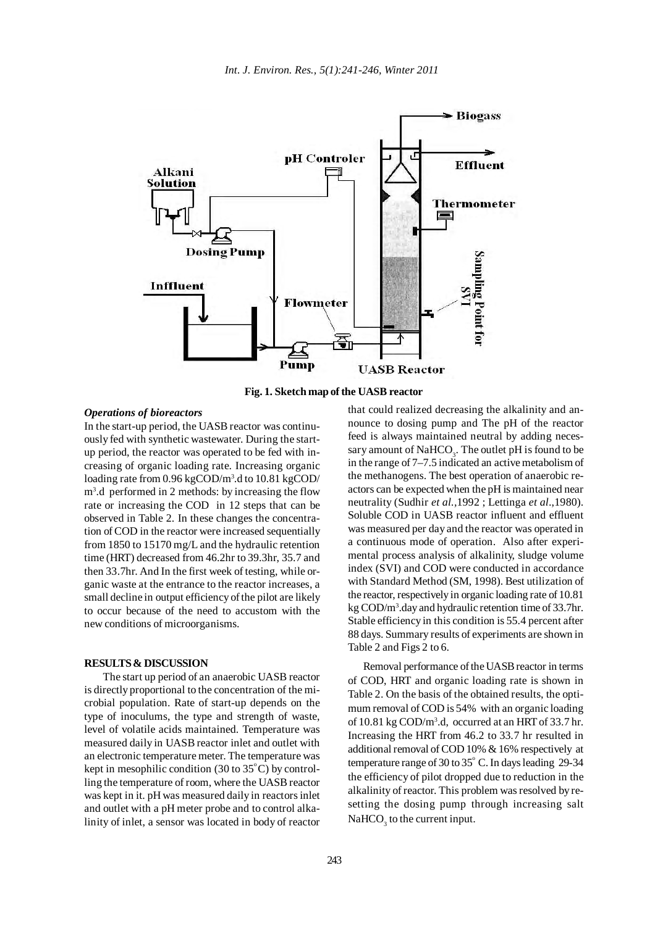

**Fig. 1. Sketch map of the UASB reactor**

# *Operations of bioreactors*

In the start-up period, the UASB reactor was continuously fed with synthetic wastewater. During the startup period, the reactor was operated to be fed with increasing of organic loading rate. Increasing organic loading rate from 0.96 kgCOD/m<sup>3</sup>.d to 10.81 kgCOD/ m3 .d performed in 2 methods: by increasing the flow rate or increasing the COD in 12 steps that can be observed in Table 2. In these changes the concentration of COD in the reactor were increased sequentially from 1850 to 15170 mg/L and the hydraulic retention time (HRT) decreased from 46.2hr to 39.3hr, 35.7 and then 33.7hr. And In the first week of testing, while organic waste at the entrance to the reactor increases, a small decline in output efficiency of the pilot are likely to occur because of the need to accustom with the new conditions of microorganisms.

#### **RESULTS & DISCUSSION**

The start up period of an anaerobic UASB reactor is directly proportional to the concentration of the microbial population. Rate of start-up depends on the type of inoculums, the type and strength of waste, level of volatile acids maintained. Temperature was measured daily in UASB reactor inlet and outlet with an electronic temperature meter. The temperature was kept in mesophilic condition (30 to  $35^{\circ}$ C) by controlling the temperature of room, where the UASB reactor was kept in it. pH was measured daily in reactors inlet and outlet with a pH meter probe and to control alkalinity of inlet, a sensor was located in body of reactor that could realized decreasing the alkalinity and announce to dosing pump and The pH of the reactor feed is always maintained neutral by adding necessary amount of  $\mathrm{NaHCO}_{_3}$ . The outlet pH is found to be in the range of 7–7.5 indicated an active metabolism of the methanogens. The best operation of anaerobic reactors can be expected when the pH is maintained near neutrality (Sudhir *et al.,*1992 ; Lettinga *et al*.,1980). Soluble COD in UASB reactor influent and effluent was measured per day and the reactor was operated in a continuous mode of operation. Also after experimental process analysis of alkalinity, sludge volume index (SVI) and COD were conducted in accordance with Standard Method (SM, 1998). Best utilization of the reactor, respectively in organic loading rate of 10.81 kg COD/m3 .day and hydraulic retention time of 33.7hr. Stable efficiency in this condition is 55.4 percent after 88 days. Summary results of experiments are shown in Table 2 and Figs 2 to 6.

Removal performance of the UASB reactor in terms of COD, HRT and organic loading rate is shown in Table 2. On the basis of the obtained results, the optimum removal of COD is 54% with an organic loading of 10.81 kg COD/m<sup>3</sup>.d, occurred at an HRT of 33.7 hr. Increasing the HRT from 46.2 to 33.7 hr resulted in additional removal of COD 10% & 16% respectively at temperature range of 30 to  $35^{\circ}$  C. In days leading 29-34 the efficiency of pilot dropped due to reduction in the alkalinity of reactor. This problem was resolved by resetting the dosing pump through increasing salt  $\mathrm{NaHCO}_{3}$  to the current input.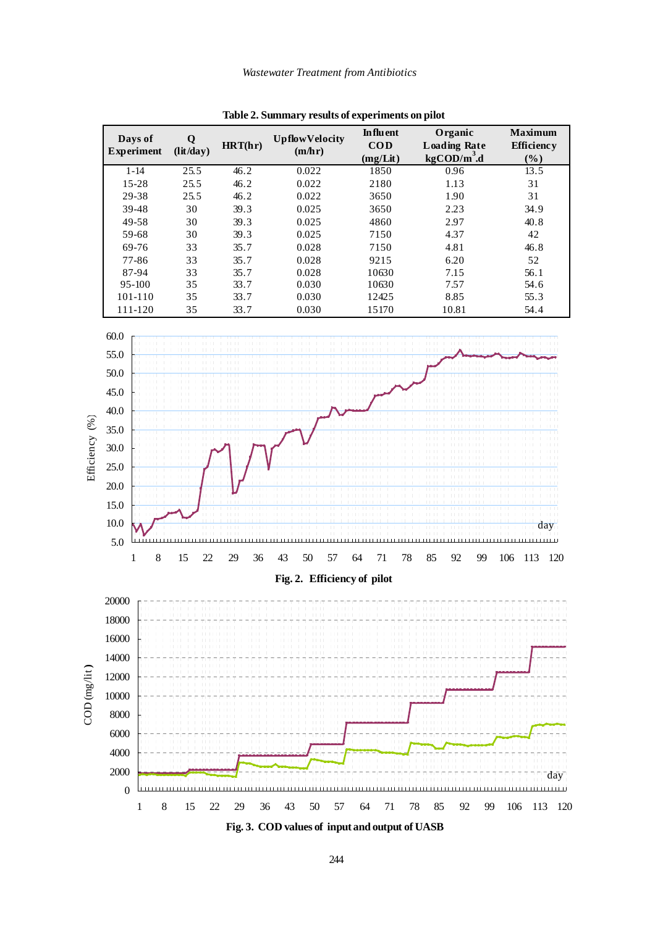

**Table 2. Summary results of experiments on pilot**

**Fig. 3. COD values of input and output of UASB**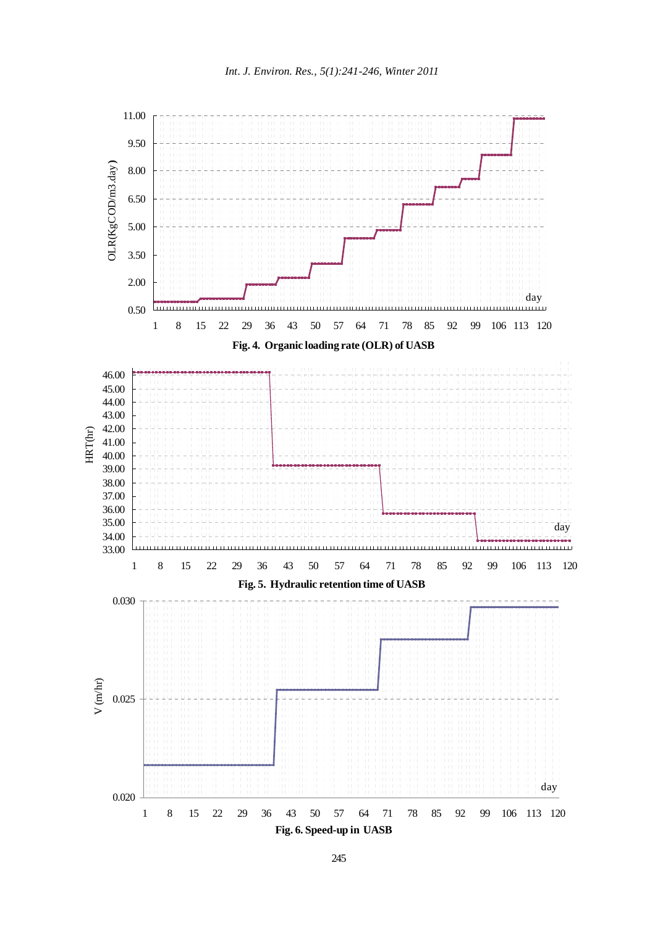

245